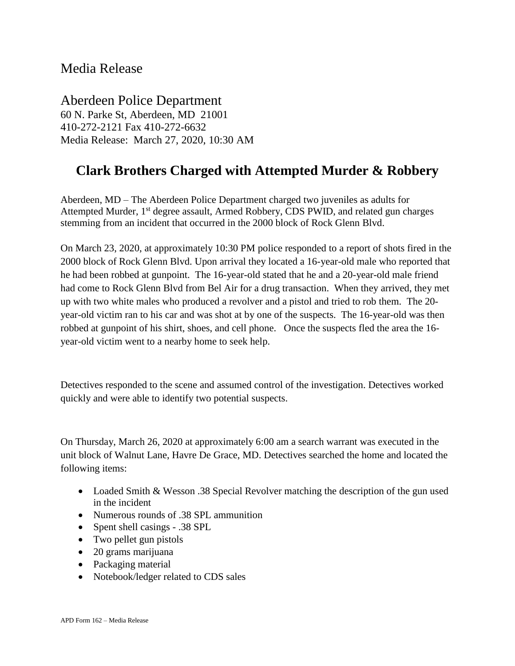## Media Release

Aberdeen Police Department 60 N. Parke St, Aberdeen, MD 21001 410-272-2121 Fax 410-272-6632 Media Release: March 27, 2020, 10:30 AM

## **Clark Brothers Charged with Attempted Murder & Robbery**

Aberdeen, MD – The Aberdeen Police Department charged two juveniles as adults for Attempted Murder, 1<sup>st</sup> degree assault, Armed Robbery, CDS PWID, and related gun charges stemming from an incident that occurred in the 2000 block of Rock Glenn Blvd.

On March 23, 2020, at approximately 10:30 PM police responded to a report of shots fired in the 2000 block of Rock Glenn Blvd. Upon arrival they located a 16-year-old male who reported that he had been robbed at gunpoint. The 16-year-old stated that he and a 20-year-old male friend had come to Rock Glenn Blvd from Bel Air for a drug transaction. When they arrived, they met up with two white males who produced a revolver and a pistol and tried to rob them. The 20 year-old victim ran to his car and was shot at by one of the suspects. The 16-year-old was then robbed at gunpoint of his shirt, shoes, and cell phone. Once the suspects fled the area the 16 year-old victim went to a nearby home to seek help.

Detectives responded to the scene and assumed control of the investigation. Detectives worked quickly and were able to identify two potential suspects.

On Thursday, March 26, 2020 at approximately 6:00 am a search warrant was executed in the unit block of Walnut Lane, Havre De Grace, MD. Detectives searched the home and located the following items:

- Loaded Smith & Wesson .38 Special Revolver matching the description of the gun used in the incident
- Numerous rounds of .38 SPL ammunition
- Spent shell casings .38 SPL
- Two pellet gun pistols
- 20 grams marijuana
- Packaging material
- Notebook/ledger related to CDS sales